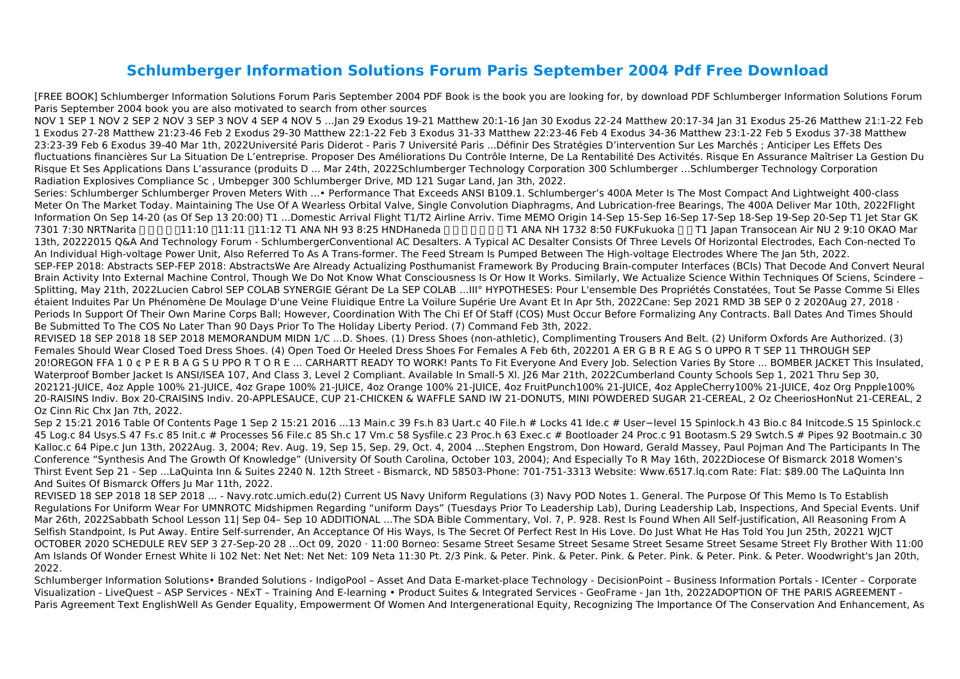## **Schlumberger Information Solutions Forum Paris September 2004 Pdf Free Download**

[FREE BOOK] Schlumberger Information Solutions Forum Paris September 2004 PDF Book is the book you are looking for, by download PDF Schlumberger Information Solutions Forum Paris September 2004 book you are also motivated to search from other sources

NOV 1 SEP 1 NOV 2 SEP 2 NOV 3 SEP 3 NOV 4 SEP 4 NOV 5 …Jan 29 Exodus 19-21 Matthew 20:1-16 Jan 30 Exodus 22-24 Matthew 20:17-34 Jan 31 Exodus 25-26 Matthew 21:1-22 Feb 1 Exodus 27-28 Matthew 21:23-46 Feb 2 Exodus 29-30 Matthew 22:1-22 Feb 3 Exodus 31-33 Matthew 22:23-46 Feb 4 Exodus 34-36 Matthew 23:1-22 Feb 5 Exodus 37-38 Matthew 23:23-39 Feb 6 Exodus 39-40 Mar 1th, 2022Université Paris Diderot - Paris 7 Université Paris ...Définir Des Stratégies D'intervention Sur Les Marchés ; Anticiper Les Effets Des fluctuations financières Sur La Situation De L'entreprise. Proposer Des Améliorations Du Contrôle Interne, De La Rentabilité Des Activités. Risque En Assurance Maîtriser La Gestion Du Risque Et Ses Applications Dans L'assurance (produits D ... Mar 24th, 2022Schlumberger Technology Corporation 300 Schlumberger …Schlumberger Technology Corporation Radiation Explosives Compliance Sc , Umbepger 300 Schlumberger Drive, MD 121 Sugar Land, Jan 3th, 2022.

Series: Schlumberger Schlumberger Proven Meters With ...• Performance That Exceeds ANSI B109.1. Schlumberger's 400A Meter Is The Most Compact And Lightweight 400-class Meter On The Market Today. Maintaining The Use Of A Wearless Orbital Valve, Single Convolution Diaphragms, And Lubrication-free Bearings, The 400A Deliver Mar 10th, 2022Flight Information On Sep 14-20 (as Of Sep 13 20:00) T1 ...Domestic Arrival Flight T1/T2 Airline Arriv. Time MEMO Origin 14-Sep 15-Sep 16-Sep 17-Sep 18-Sep 19-Sep 20-Sep T1 Jet Star GK 7301 7:30 NRTNarita □□□□□1:10 □11:11 □1:12 T1 ANA NH 93 8:25 HNDHaneda □□□□□□ ANA NH 1732 8:50 FUKFukuoka □□ T1 Japan Transocean Air NU 2 9:10 OKAO Mar 13th, 20222015 Q&A And Technology Forum - SchlumbergerConventional AC Desalters. A Typical AC Desalter Consists Of Three Levels Of Horizontal Electrodes, Each Con-nected To An Individual High-voltage Power Unit, Also Referred To As A Trans-former. The Feed Stream Is Pumped Between The High-voltage Electrodes Where The Jan 5th, 2022. SEP-FEP 2018: Abstracts SEP-FEP 2018: AbstractsWe Are Already Actualizing Posthumanist Framework By Producing Brain-computer Interfaces (BCIs) That Decode And Convert Neural Brain Activity Into External Machine Control, Though We Do Not Know What Consciousness Is Or How It Works. Similarly, We Actualize Science Within Techniques Of Sciens, Scindere – Splitting, May 21th, 2022Lucien Cabrol SEP COLAB SYNERGIE Gérant De La SEP COLAB …III° HYPOTHESES: Pour L'ensemble Des Propriétés Constatées, Tout Se Passe Comme Si Elles étaient Induites Par Un Phénomène De Moulage D'une Veine Fluidique Entre La Voilure Supérie Ure Avant Et In Apr 5th, 2022Cane: Sep 2021 RMD 3B SEP 0 2 2020Aug 27, 2018 · Periods In Support Of Their Own Marine Corps Ball; However, Coordination With The Chi Ef Of Staff (COS) Must Occur Before Formalizing Any Contracts. Ball Dates And Times Should Be Submitted To The COS No Later Than 90 Days Prior To The Holiday Liberty Period. (7) Command Feb 3th, 2022.

REVISED 18 SEP 2018 18 SEP 2018 MEMORANDUM MIDN 1/C ...D. Shoes. (1) Dress Shoes (non-athletic), Complimenting Trousers And Belt. (2) Uniform Oxfords Are Authorized. (3) Females Should Wear Closed Toed Dress Shoes. (4) Open Toed Or Heeled Dress Shoes For Females A Feb 6th, 202201 A ER G B R E AG S O UPPO R T SEP 11 THROUGH SEP 20!OREGON FFA 1 0 ¢ P E R B A G S U PPO R T O R E ... CARHARTT READY TO WORK! Pants To Fit Everyone And Every Job. Selection Varies By Store ... BOMBER JACKET This Insulated, Waterproof Bomber Jacket Is ANSI/ISEA 107, And Class 3, Level 2 Compliant. Available In Small-5 XI. [26 Mar 21th, 2022Cumberland County Schools Sep 1, 2021 Thru Sep 30, 202121-JUICE, 4oz Apple 100% 21-JUICE, 4oz Grape 100% 21-JUICE, 4oz Orange 100% 21-JUICE, 4oz FruitPunch100% 21-JUICE, 4oz AppleCherry100% 21-JUICE, 4oz Org Pnpple100% 20-RAISINS Indiv. Box 20-CRAISINS Indiv. 20-APPLESAUCE, CUP 21-CHICKEN & WAFFLE SAND IW 21-DONUTS, MINI POWDERED SUGAR 21-CEREAL, 2 Oz CheeriosHonNut 21-CEREAL, 2 Oz Cinn Ric Chx Jan 7th, 2022.

Sep 2 15:21 2016 Table Of Contents Page 1 Sep 2 15:21 2016 ...13 Main.c 39 Fs.h 83 Uart.c 40 File.h # Locks 41 Ide.c # User−level 15 Spinlock.h 43 Bio.c 84 Initcode.S 15 Spinlock.c 45 Log.c 84 Usys.S 47 Fs.c 85 Init.c # Processes 56 File.c 85 Sh.c 17 Vm.c 58 Sysfile.c 23 Proc.h 63 Exec.c # Bootloader 24 Proc.c 91 Bootasm.S 29 Swtch.S # Pipes 92 Bootmain.c 30 Kalloc.c 64 Pipe.c Jun 13th, 2022Aug. 3, 2004; Rev. Aug. 19, Sep 15, Sep. 29, Oct. 4, 2004 ...Stephen Engstrom, Don Howard, Gerald Massey, Paul Pojman And The Participants In The Conference "Synthesis And The Growth Of Knowledge" (University Of South Carolina, October 103, 2004); And Especially To R May 16th, 2022Diocese Of Bismarck 2018 Women's Thirst Event Sep 21 - Sep ...LaQuinta Inn & Suites 2240 N. 12th Street - Bismarck, ND 58503-Phone: 701-751-3313 Website: Www.6517.lq.com Rate: Flat: \$89.00 The LaQuinta Inn And Suites Of Bismarck Offers Ju Mar 11th, 2022.

REVISED 18 SEP 2018 18 SEP 2018 ... - Navy.rotc.umich.edu(2) Current US Navy Uniform Regulations (3) Navy POD Notes 1. General. The Purpose Of This Memo Is To Establish Regulations For Uniform Wear For UMNROTC Midshipmen Regarding "uniform Days" (Tuesdays Prior To Leadership Lab), During Leadership Lab, Inspections, And Special Events. Unif Mar 26th, 2022Sabbath School Lesson 11| Sep 04– Sep 10 ADDITIONAL ...The SDA Bible Commentary, Vol. 7, P. 928. Rest Is Found When All Self-justification, All Reasoning From A Selfish Standpoint, Is Put Away. Entire Self-surrender, An Acceptance Of His Ways, Is The Secret Of Perfect Rest In His Love. Do Just What He Has Told You Jun 25th, 20221 WJCT OCTOBER 2020 SCHEDULE REV SEP 3 27-Sep-20 28 …Oct 09, 2020 · 11:00 Borneo: Sesame Street Sesame Street Sesame Street Sesame Street Sesame Street Fly Brother With 11:00 Am Islands Of Wonder Ernest White Ii 102 Net: Net Net: Net Net: 109 Neta 11:30 Pt. 2/3 Pink. & Peter. Pink. & Peter. Pink. & Peter. Pink. & Peter. Pink. & Peter. Woodwright's Jan 20th, 2022.

Schlumberger Information Solutions• Branded Solutions - IndigoPool – Asset And Data E-market-place Technology - DecisionPoint – Business Information Portals - ICenter – Corporate Visualization - LiveQuest – ASP Services - NExT – Training And E-learning • Product Suites & Integrated Services - GeoFrame - Jan 1th, 2022ADOPTION OF THE PARIS AGREEMENT - Paris Agreement Text EnglishWell As Gender Equality, Empowerment Of Women And Intergenerational Equity, Recognizing The Importance Of The Conservation And Enhancement, As